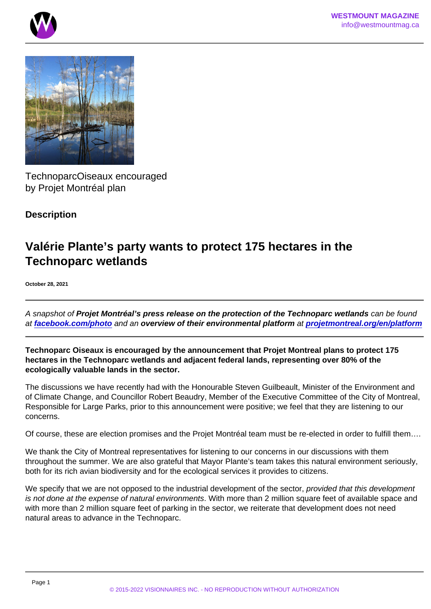TechnoparcOiseaux encouraged by Projet Montréal plan

**Description** 

## Valérie Plante's party wants to protect 175 hectares in the Technoparc wetlands

October 28, 2021

A snapshot of Projet Montréal's press release on the protection of the Technoparc wetlands can be found at [facebook.com/photo](https://www.facebook.com/photo.php?fbid=420877606093358&set=pb.100045133652286.-2207520000) and an overview of their environmental platform at [projetmontreal.org/en/platform](https://projetmontreal.org/en/platform)

Technoparc Oiseaux is encouraged by the announcement that Projet Montreal plans to protect 175 hectares in the Technoparc wetlands and adjacent federal lands, representing over 80% of the ecologically valuable lands in the sector.

The discussions we have recently had with the Honourable Steven Guilbeault, Minister of the Environment and of Climate Change, and Councillor Robert Beaudry, Member of the Executive Committee of the City of Montreal, Responsible for Large Parks, prior to this announcement were positive; we feel that they are listening to our concerns.

Of course, these are election promises and the Projet Montréal team must be re-elected in order to fulfill them….

We thank the City of Montreal representatives for listening to our concerns in our discussions with them throughout the summer. We are also grateful that Mayor Plante's team takes this natural environment seriously, both for its rich avian biodiversity and for the ecological services it provides to citizens.

We specify that we are not opposed to the industrial development of the sector, provided that this development is not done at the expense of natural environments. With more than 2 million square feet of available space and with more than 2 million square feet of parking in the sector, we reiterate that development does not need natural areas to advance in the Technoparc.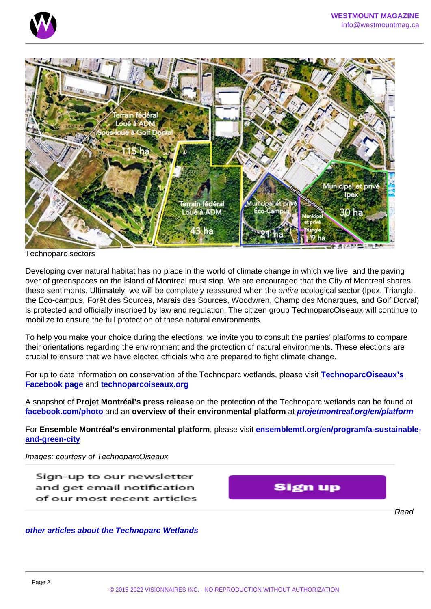## Technoparc sectors

Developing over natural habitat has no place in the world of climate change in which we live, and the paving over of greenspaces on the island of Montreal must stop. We are encouraged that the City of Montreal shares these sentiments. Ultimately, we will be completely reassured when the entire ecological sector (Ipex, Triangle, the Eco-campus, Forêt des Sources, Marais des Sources, Woodwren, Champ des Monarques, and Golf Dorval) is protected and officially inscribed by law and regulation. The citizen group TechnoparcOiseaux will continue to mobilize to ensure the full protection of these natural environments.

To help you make your choice during the elections, we invite you to consult the parties' platforms to compare their orientations regarding the environment and the protection of natural environments. These elections are crucial to ensure that we have elected officials who are prepared to fight climate change.

For up to date information on conservation of the Technoparc wetlands, please visit [TechnoparcOiseaux's](https://www.facebook.com/groups/TechnoparcOiseaux/)  [Facebook page](https://www.facebook.com/groups/TechnoparcOiseaux/) and [technoparcoiseaux.org](https://www.technoparcoiseaux.org/)

A snapshot of Projet Montréal's press release on the protection of the Technoparc wetlands can be found at [facebook.com/photo](https://www.facebook.com/photo.php?fbid=420877606093358&set=pb.100045133652286.-2207520000) and an overview of their environmental platform at [projetmontreal.org/en/platform](https://projetmontreal.org/en/platform)

For Ensemble Montréal's environmental platform, please visit [ensemblemtl.org/en/program/a-sustainable](https://ensemblemtl.org/en/program/a-sustainable-and-green-city/)[and-green-city](https://ensemblemtl.org/en/program/a-sustainable-and-green-city/)

Images: courtesy of TechnoparcOiseaux Feature image: Étang aux Hérons

Read

[other articles about the Technoparc Wetlands](https://www.westmountmag.ca/?s=technoparc)